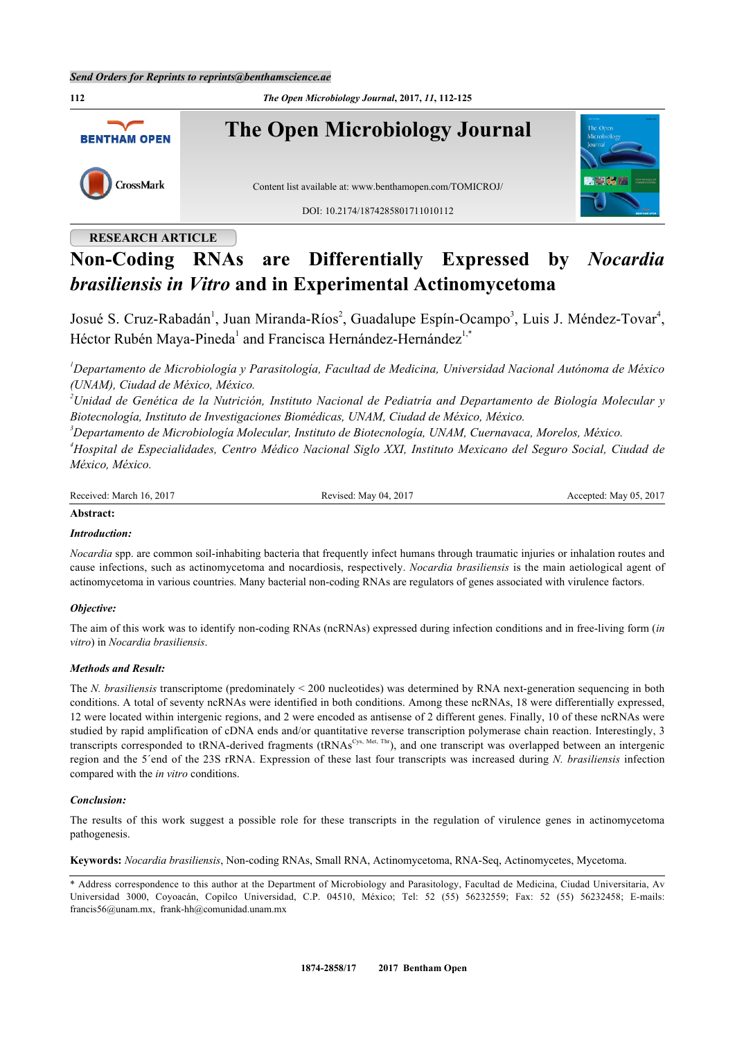

## **RESEARCH ARTICLE**

# **Non-Coding RNAs are Differentially Expressed by** *Nocardia brasiliensis in Vitro* **and in Experimental Actinomycetoma**

Josué S. Cruz-Rabadán<sup>[1](#page-0-0)</sup>, Juan Miranda-Ríos<sup>[2](#page-0-1)</sup>, Guadalupe Espín-Ocampo<sup>[3](#page-0-2)</sup>, Luis J. Méndez-Tovar<sup>[4](#page-0-3)</sup>, Héctor Rubén Maya-Pineda<sup>[1](#page-0-0)</sup> and Francisca Hernández-Hernández<sup>[1,](#page-0-0)\*</sup>

<span id="page-0-0"></span>*<sup>1</sup>Departamento de Microbiología y Parasitología, Facultad de Medicina, Universidad Nacional Autónoma de México (UNAM), Ciudad de México, México.*

<span id="page-0-1"></span>*<sup>2</sup>Unidad de Genética de la Nutrición, Instituto Nacional de Pediatría and Departamento de Biología Molecular y Biotecnología, Instituto de Investigaciones Biomédicas, UNAM, Ciudad de México, México.*

<span id="page-0-2"></span>*<sup>3</sup>Departamento de Microbiología Molecular, Instituto de Biotecnología, UNAM, Cuernavaca, Morelos, México.*

<span id="page-0-3"></span>*<sup>4</sup>Hospital de Especialidades, Centro Médico Nacional Siglo XXI, Instituto Mexicano del Seguro Social, Ciudad de México, México.*

Received: March 16, 2017 Revised: May 04, 2017 Revised: May 04, 2017 Accepted: May 05, 2017

#### **Abstract:**

## *Introduction:*

*Nocardia* spp. are common soil-inhabiting bacteria that frequently infect humans through traumatic injuries or inhalation routes and cause infections, such as actinomycetoma and nocardiosis, respectively. *Nocardia brasiliensis* is the main aetiological agent of actinomycetoma in various countries. Many bacterial non-coding RNAs are regulators of genes associated with virulence factors.

## *Objective:*

The aim of this work was to identify non-coding RNAs (ncRNAs) expressed during infection conditions and in free-living form (*in vitro*) in *Nocardia brasiliensis*.

## *Methods and Result:*

The *N. brasiliensis* transcriptome (predominately < 200 nucleotides) was determined by RNA next-generation sequencing in both conditions. A total of seventy ncRNAs were identified in both conditions. Among these ncRNAs, 18 were differentially expressed, 12 were located within intergenic regions, and 2 were encoded as antisense of 2 different genes. Finally, 10 of these ncRNAs were studied by rapid amplification of cDNA ends and/or quantitative reverse transcription polymerase chain reaction. Interestingly, 3 transcripts corresponded to tRNA-derived fragments (tRNAs<sup>Cys, Met, Thr</sup>), and one transcript was overlapped between an intergenic region and the 5´end of the 23S rRNA. Expression of these last four transcripts was increased during *N. brasiliensis* infection compared with the *in vitro* conditions.

## *Conclusion:*

The results of this work suggest a possible role for these transcripts in the regulation of virulence genes in actinomycetoma pathogenesis.

**Keywords:** *Nocardia brasiliensis*, Non-coding RNAs, Small RNA, Actinomycetoma, RNA-Seq, Actinomycetes, Mycetoma.

\* Address correspondence to this author at the Department of Microbiology and Parasitology, Facultad de Medicina, Ciudad Universitaria, Av Universidad 3000, Coyoacán, Copilco Universidad, C.P. 04510, México; Tel: 52 (55) 56232559; Fax: 52 (55) 56232458; E-mails: [francis56@unam.mx,](mailto:francis56@unam.mx) [frank-hh@comunidad.unam.mx](mailto:frank-hh@comunidad.unam.mx)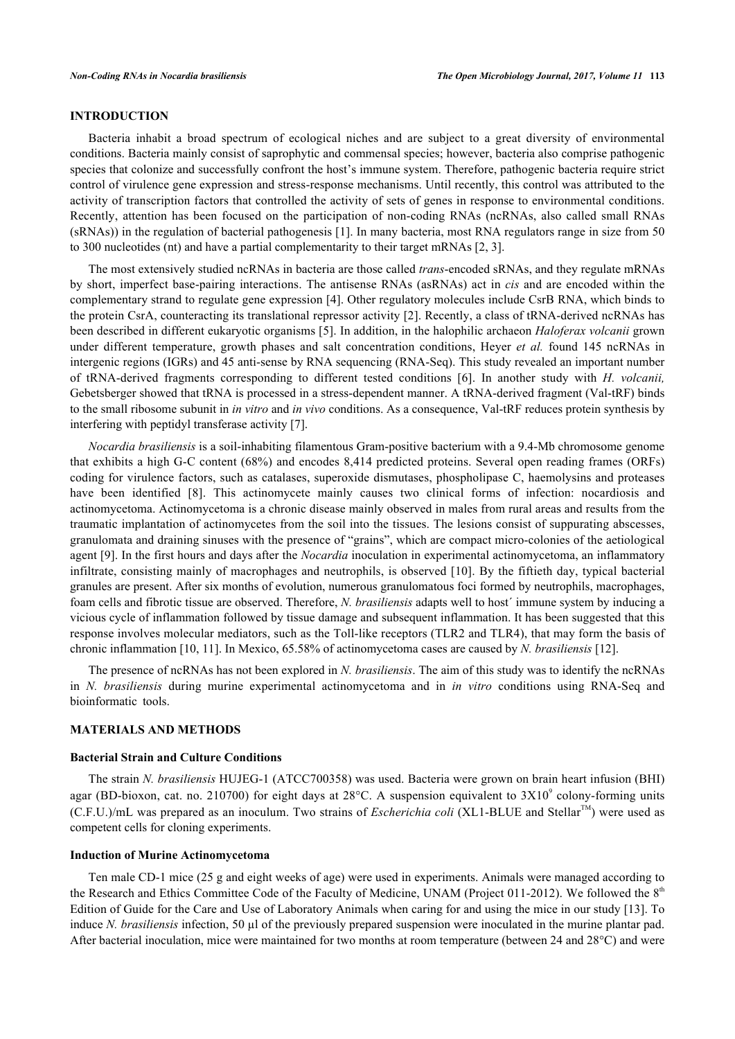## **INTRODUCTION**

Bacteria inhabit a broad spectrum of ecological niches and are subject to a great diversity of environmental conditions. Bacteria mainly consist of saprophytic and commensal species; however, bacteria also comprise pathogenic species that colonize and successfully confront the host's immune system. Therefore, pathogenic bacteria require strict control of virulence gene expression and stress-response mechanisms. Until recently, this control was attributed to the activity of transcription factors that controlled the activity of sets of genes in response to environmental conditions. Recently, attention has been focused on the participation of non-coding RNAs (ncRNAs, also called small RNAs (sRNAs)) in the regulation of bacterial pathogenesis [\[1](#page-11-0)]. In many bacteria, most RNA regulators range in size from 50 to 300 nucleotides (nt) and have a partial complementarity to their target mRNAs [\[2](#page-11-1), [3](#page-11-2)].

The most extensively studied ncRNAs in bacteria are those called *trans*-encoded sRNAs, and they regulate mRNAs by short, imperfect base-pairing interactions. The antisense RNAs (asRNAs) act in *cis* and are encoded within the complementary strand to regulate gene expression [[4\]](#page-11-3). Other regulatory molecules include CsrB RNA, which binds to the protein CsrA, counteracting its translational repressor activity [\[2](#page-11-1)]. Recently, a class of tRNA-derived ncRNAs has been described in different eukaryotic organisms [[5\]](#page-11-4). In addition, in the halophilic archaeon *Haloferax volcanii* grown under different temperature, growth phases and salt concentration conditions, Heyer *et al.* found 145 ncRNAs in intergenic regions (IGRs) and 45 anti-sense by RNA sequencing (RNA-Seq). This study revealed an important number of tRNA-derived fragments corresponding to different tested conditions[[6](#page-11-5)]. In another study with *H. volcanii,* Gebetsberger showed that tRNA is processed in a stress-dependent manner. A tRNA-derived fragment (Val-tRF) binds to the small ribosome subunit in *in vitro* and *in vivo* conditions. As a consequence, Val-tRF reduces protein synthesis by interfering with peptidyl transferase activity [[7\]](#page-11-6).

*Nocardia brasiliensis* is a soil-inhabiting filamentous Gram-positive bacterium with a 9.4-Mb chromosome genome that exhibits a high G-C content (68%) and encodes 8,414 predicted proteins. Several open reading frames (ORFs) coding for virulence factors, such as catalases, superoxide dismutases, phospholipase C, haemolysins and proteases havebeen identified [[8\]](#page-11-7). This actinomycete mainly causes two clinical forms of infection: nocardiosis and actinomycetoma. Actinomycetoma is a chronic disease mainly observed in males from rural areas and results from the traumatic implantation of actinomycetes from the soil into the tissues. The lesions consist of suppurating abscesses, granulomata and draining sinuses with the presence of "grains", which are compact micro-colonies of the aetiological agent [[9\]](#page-11-8). In the first hours and days after the *Nocardia* inoculation in experimental actinomycetoma, an inflammatory infiltrate, consisting mainly of macrophages and neutrophils, is observed [[10\]](#page-11-9). By the fiftieth day, typical bacterial granules are present. After six months of evolution, numerous granulomatous foci formed by neutrophils, macrophages, foam cells and fibrotic tissue are observed. Therefore, *N. brasiliensis* adapts well to host´ immune system by inducing a vicious cycle of inflammation followed by tissue damage and subsequent inflammation. It has been suggested that this response involves molecular mediators, such as the Toll-like receptors (TLR2 and TLR4), that may form the basis of chronic inflammation [[10,](#page-11-9) [11\]](#page-11-10). In Mexico, 65.58% of actinomycetoma cases are caused by *N. brasiliensis* [[12\]](#page-11-11).

The presence of ncRNAs has not been explored in *N. brasiliensis*. The aim of this study was to identify the ncRNAs in *N. brasiliensis* during murine experimental actinomycetoma and in *in vitro* conditions using RNA-Seq and bioinformatic tools.

#### **MATERIALS AND METHODS**

#### **Bacterial Strain and Culture Conditions**

The strain *N. brasiliensis* HUJEG-1 (ATCC700358) was used. Bacteria were grown on brain heart infusion (BHI) agar (BD-bioxon, cat. no. 210700) for eight days at 28 $^{\circ}$ C. A suspension equivalent to 3X10 $^{\circ}$  colony-forming units (C.F.U.)/mL was prepared as an inoculum. Two strains of *Escherichia coli* (XL1-BLUE and Stellar<sup>TM</sup>) were used as competent cells for cloning experiments.

#### **Induction of Murine Actinomycetoma**

Ten male CD-1 mice (25 g and eight weeks of age) were used in experiments. Animals were managed according to the Research and Ethics Committee Code of the Faculty of Medicine, UNAM (Project 011-2012). We followed the  $8<sup>th</sup>$ Edition of Guide for the Care and Use of Laboratory Animals when caring for and using the mice in our study [[13\]](#page-11-12). To induce *N. brasiliensis* infection, 50 µl of the previously prepared suspension were inoculated in the murine plantar pad. After bacterial inoculation, mice were maintained for two months at room temperature (between 24 and 28°C) and were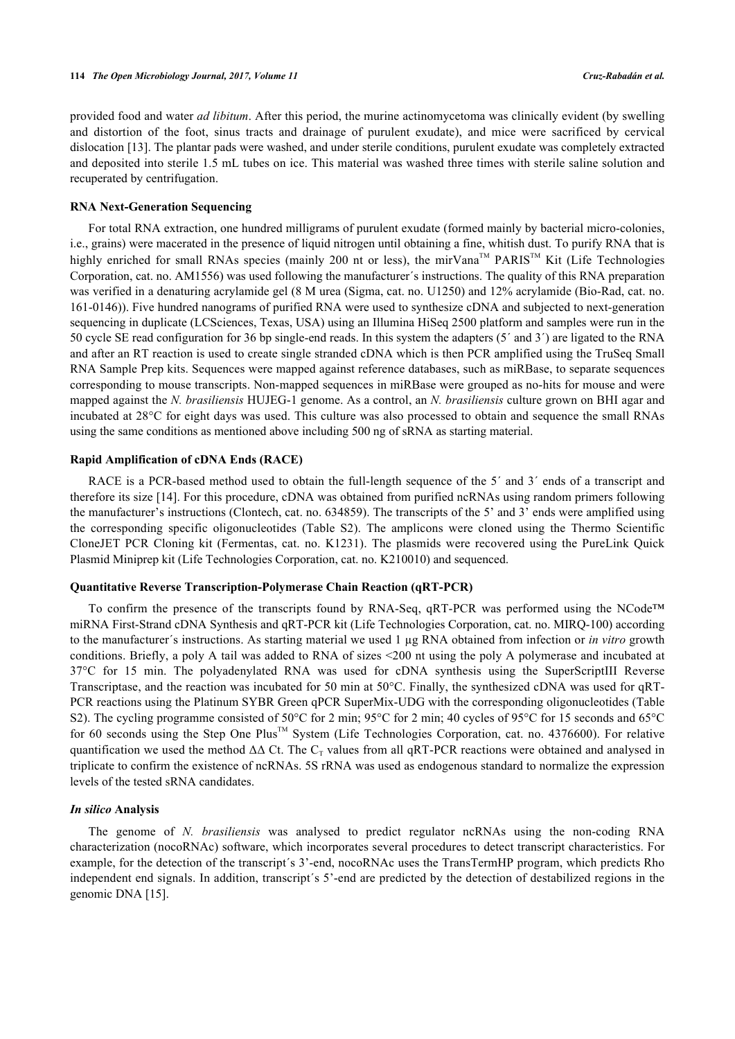provided food and water *ad libitum*. After this period, the murine actinomycetoma was clinically evident (by swelling and distortion of the foot, sinus tracts and drainage of purulent exudate), and mice were sacrificed by cervical dislocation [\[13\]](#page-11-12). The plantar pads were washed, and under sterile conditions, purulent exudate was completely extracted and deposited into sterile 1.5 mL tubes on ice. This material was washed three times with sterile saline solution and recuperated by centrifugation.

## **RNA Next-Generation Sequencing**

For total RNA extraction, one hundred milligrams of purulent exudate (formed mainly by bacterial micro-colonies, i.e., grains) were macerated in the presence of liquid nitrogen until obtaining a fine, whitish dust. To purify RNA that is highly enriched for small RNAs species (mainly 200 nt or less), the mirVana™ PARIS™ Kit (Life Technologies Corporation, cat. no. AM1556) was used following the manufacturer´s instructions. The quality of this RNA preparation was verified in a denaturing acrylamide gel (8 M urea (Sigma, cat. no. U1250) and 12% acrylamide (Bio-Rad, cat. no. 161-0146)). Five hundred nanograms of purified RNA were used to synthesize cDNA and subjected to next-generation sequencing in duplicate (LCSciences, Texas, USA) using an Illumina HiSeq 2500 platform and samples were run in the 50 cycle SE read configuration for 36 bp single-end reads. In this system the adapters (5´ and 3´) are ligated to the RNA and after an RT reaction is used to create single stranded cDNA which is then PCR amplified using the TruSeq Small RNA Sample Prep kits. Sequences were mapped against reference databases, such as miRBase, to separate sequences corresponding to mouse transcripts. Non-mapped sequences in miRBase were grouped as no-hits for mouse and were mapped against the *N. brasiliensis* HUJEG-1 genome. As a control, an *N. brasiliensis* culture grown on BHI agar and incubated at 28°C for eight days was used. This culture was also processed to obtain and sequence the small RNAs using the same conditions as mentioned above including 500 ng of sRNA as starting material.

#### **Rapid Amplification of cDNA Ends (RACE)**

RACE is a PCR-based method used to obtain the full-length sequence of the 5<sup>'</sup> and 3<sup>'</sup> ends of a transcript and therefore its size [[14](#page-12-0)]. For this procedure, cDNA was obtained from purified ncRNAs using random primers following the manufacturer's instructions (Clontech, cat. no. 634859). The transcripts of the 5' and 3' ends were amplified using the corresponding specific oligonucleotides (Table S2). The amplicons were cloned using the Thermo Scientific CloneJET PCR Cloning kit (Fermentas, cat. no. K1231). The plasmids were recovered using the PureLink Quick Plasmid Miniprep kit (Life Technologies Corporation, cat. no. K210010) and sequenced.

## **Quantitative Reverse Transcription-Polymerase Chain Reaction (qRT-PCR)**

To confirm the presence of the transcripts found by RNA-Seq, qRT-PCR was performed using the NCode™ miRNA First-Strand cDNA Synthesis and qRT-PCR kit (Life Technologies Corporation, cat. no. MIRQ-100) according to the manufacturer´s instructions. As starting material we used 1 µg RNA obtained from infection or *in vitro* growth conditions. Briefly, a poly A tail was added to RNA of sizes <200 nt using the poly A polymerase and incubated at 37°C for 15 min. The polyadenylated RNA was used for cDNA synthesis using the SuperScriptIII Reverse Transcriptase, and the reaction was incubated for 50 min at 50°C. Finally, the synthesized cDNA was used for qRT-PCR reactions using the Platinum SYBR Green qPCR SuperMix-UDG with the corresponding oligonucleotides (Table S2). The cycling programme consisted of 50°C for 2 min; 95°C for 2 min; 40 cycles of 95°C for 15 seconds and 65°C for 60 seconds using the Step One Plus™ System (Life Technologies Corporation, cat. no. 4376600). For relative quantification we used the method  $\Delta\Delta$  Ct. The  $C_T$  values from all qRT-PCR reactions were obtained and analysed in triplicate to confirm the existence of ncRNAs. 5S rRNA was used as endogenous standard to normalize the expression levels of the tested sRNA candidates.

#### *In silico* **Analysis**

The genome of *N. brasiliensis* was analysed to predict regulator ncRNAs using the non-coding RNA characterization (nocoRNAc) software, which incorporates several procedures to detect transcript characteristics. For example, for the detection of the transcript´s 3'-end, nocoRNAc uses the TransTermHP program, which predicts Rho independent end signals. In addition, transcript´s 5'-end are predicted by the detection of destabilized regions in the genomic DNA [\[15](#page-12-1)].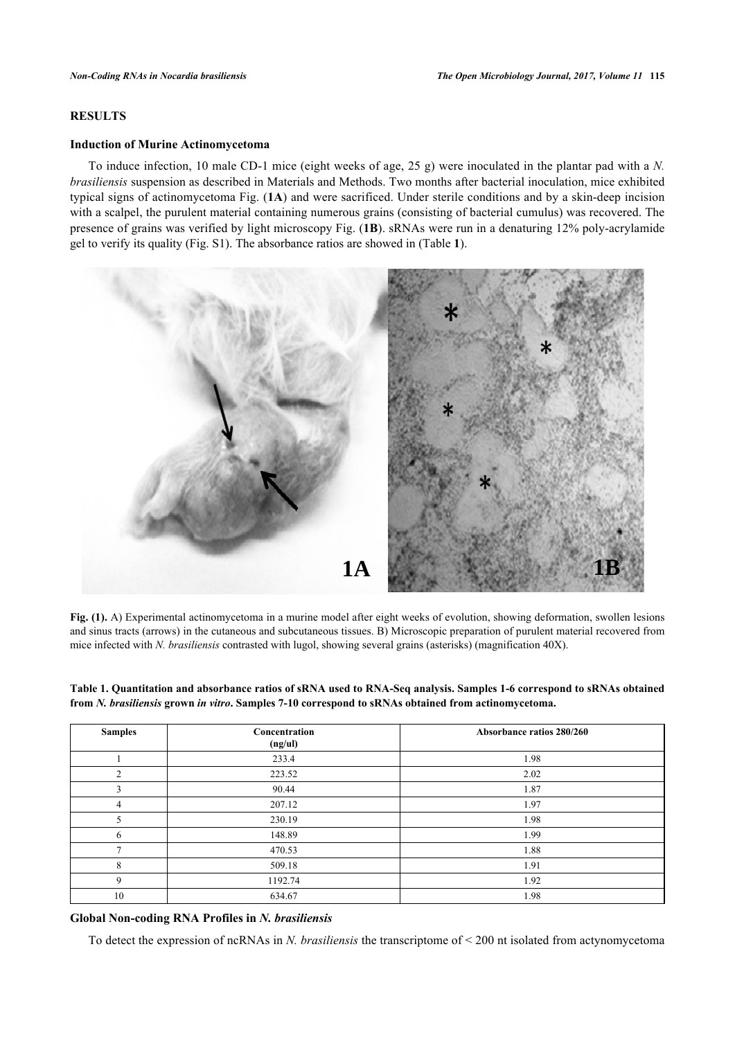## **RESULTS**

#### **Induction of Murine Actinomycetoma**

To induce infection, 10 male CD-1 mice (eight weeks of age, 25 g) were inoculated in the plantar pad with a *N. brasiliensis* suspension as described in Materials and Methods. Two months after bacterial inoculation, mice exhibited typical signs of actinomycetoma Fig. (**[1A](#page-3-0)**) and were sacrificed. Under sterile conditions and by a skin-deep incision with a scalpel, the purulent material containing numerous grains (consisting of bacterial cumulus) was recovered. The presence of grains was verified by light microscopy Fig. (**[1B](#page-3-0)**). sRNAs were run in a denaturing 12% poly-acrylamide gel to verify its quality (Fig. S1). The absorbance ratios are showed in (Table **[1](#page-3-1)**).

<span id="page-3-0"></span>

**Fig. (1).** A) Experimental actinomycetoma in a murine model after eight weeks of evolution, showing deformation, swollen lesions and sinus tracts (arrows) in the cutaneous and subcutaneous tissues. B) Microscopic preparation of purulent material recovered from mice infected with *N. brasiliensis* contrasted with lugol, showing several grains (asterisks) (magnification 40X).

<span id="page-3-1"></span>**Table 1. Quantitation and absorbance ratios of sRNA used to RNA-Seq analysis. Samples 1-6 correspond to sRNAs obtained from** *N. brasiliensis* **grown** *in vitro***. Samples 7-10 correspond to sRNAs obtained from actinomycetoma.**

| <b>Samples</b> | Concentration<br>(ng/ul) | Absorbance ratios 280/260 |  |
|----------------|--------------------------|---------------------------|--|
|                | 233.4                    | 1.98                      |  |
| ↑              | 223.52                   | 2.02                      |  |
| ٩              | 90.44                    | 1.87                      |  |
| 4              | 207.12                   | 1.97                      |  |
| 5              | 230.19                   | 1.98                      |  |
| 6              | 148.89                   | 1.99                      |  |
|                | 470.53                   | 1.88                      |  |
| 8              | 509.18                   | 1.91                      |  |
| 9              | 1192.74                  | 1.92                      |  |
| 10             | 634.67                   | 1.98                      |  |

## **Global Non-coding RNA Profiles in** *N. brasiliensis*

To detect the expression of ncRNAs in *N. brasiliensis* the transcriptome of < 200 nt isolated from actynomycetoma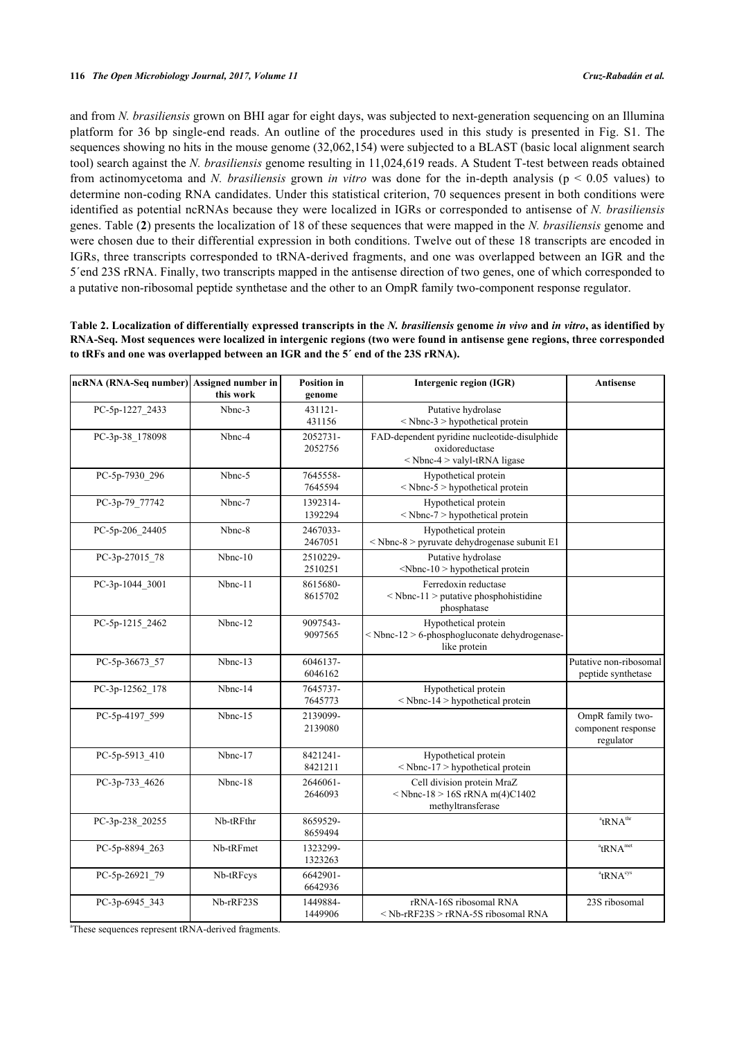and from *N. brasiliensis* grown on BHI agar for eight days, was subjected to next-generation sequencing on an Illumina platform for 36 bp single-end reads. An outline of the procedures used in this study is presented in Fig. S1. The sequences showing no hits in the mouse genome (32,062,154) were subjected to a BLAST (basic local alignment search tool) search against the *N. brasiliensis* genome resulting in 11,024,619 reads. A Student T-test between reads obtained from actinomycetoma and *N. brasiliensis* grown *in vitro* was done for the in-depth analysis (p < 0.05 values) to determine non-coding RNA candidates. Under this statistical criterion, 70 sequences present in both conditions were identified as potential ncRNAs because they were localized in IGRs or corresponded to antisense of *N. brasiliensis* genes. Table (**[2](#page-4-0)**) presents the localization of 18 of these sequences that were mapped in the *N. brasiliensis* genome and were chosen due to their differential expression in both conditions. Twelve out of these 18 transcripts are encoded in IGRs, three transcripts corresponded to tRNA-derived fragments, and one was overlapped between an IGR and the 5´end 23S rRNA. Finally, two transcripts mapped in the antisense direction of two genes, one of which corresponded to a putative non-ribosomal peptide synthetase and the other to an OmpR family two-component response regulator.

<span id="page-4-0"></span>**Table 2. Localization of differentially expressed transcripts in the** *N. brasiliensis* **genome** *in vivo* **and** *in vitro***, as identified by RNA-Seq. Most sequences were localized in intergenic regions (two were found in antisense gene regions, three corresponded to tRFs and one was overlapped between an IGR and the 5´ end of the 23S rRNA).**

| ncRNA (RNA-Seq number) Assigned number in | this work | <b>Position</b> in<br>genome | Intergenic region (IGR)                                                                        | <b>Antisense</b>                                    |
|-------------------------------------------|-----------|------------------------------|------------------------------------------------------------------------------------------------|-----------------------------------------------------|
| PC-5p-1227_2433                           | Nbnc-3    | 431121-<br>431156            | Putative hydrolase<br>< Nbnc-3 > hypothetical protein                                          |                                                     |
| PC-3p-38 178098                           | Nbnc-4    | 2052731-<br>2052756          | FAD-dependent pyridine nucleotide-disulphide<br>oxidoreductase<br>< Nbnc-4 > valyl-tRNA ligase |                                                     |
| PC-5p-7930 296                            | Nbnc-5    | 7645558-<br>7645594          | Hypothetical protein<br>$<$ Nbnc-5 $>$ hypothetical protein                                    |                                                     |
| PC-3p-79 77742                            | Nbnc-7    | 1392314-<br>1392294          | Hypothetical protein<br>< Nbnc-7 > hypothetical protein                                        |                                                     |
| PC-5p-206_24405                           | Nbnc-8    | 2467033-<br>2467051          | Hypothetical protein<br>$<$ Nbnc-8 > pyruvate dehydrogenase subunit E1                         |                                                     |
| PC-3p-27015 78                            | $Nbnc-10$ | 2510229-<br>2510251          | Putative hydrolase<br><nbnc-10> hypothetical protein</nbnc-10>                                 |                                                     |
| PC-3p-1044_3001                           | Nbnc-11   | 8615680-<br>8615702          | Ferredoxin reductase<br>$\leq$ Nbnc-11 $>$ putative phosphohistidine<br>phosphatase            |                                                     |
| PC-5p-1215 2462                           | Nbnc-12   | 9097543-<br>9097565          | Hypothetical protein<br><nbnc-12> 6-phosphogluconate dehydrogenase-<br/>like protein</nbnc-12> |                                                     |
| PC-5p-36673_57                            | Nbnc-13   | 6046137-<br>6046162          |                                                                                                | Putative non-ribosomal<br>peptide synthetase        |
| PC-3p-12562 178                           | Nbnc-14   | 7645737-<br>7645773          | Hypothetical protein<br>$<$ Nbnc-14 > hypothetical protein                                     |                                                     |
| PC-5p-4197 599                            | Nbnc-15   | 2139099-<br>2139080          |                                                                                                | OmpR family two-<br>component response<br>regulator |
| PC-5p-5913 410                            | Nbnc-17   | 8421241-<br>8421211          | Hypothetical protein<br>< Nbnc-17 > hypothetical protein                                       |                                                     |
| PC-3p-733_4626                            | Nbnc-18   | 2646061-<br>2646093          | Cell division protein MraZ<br>$<$ Nbnc-18 > 16S rRNA m(4)C1402<br>methyltransferase            |                                                     |
| PC-3p-238 20255                           | Nb-tRFthr | 8659529-<br>8659494          |                                                                                                | $^{\text{a}}$ tRNA <sup>thr</sup>                   |
| PC-5p-8894 263                            | Nb-tRFmet | 1323299-<br>1323263          |                                                                                                | <sup>a</sup> tRNA <sup>met</sup>                    |
| PC-5p-26921 79                            | Nb-tRFcys | 6642901-<br>6642936          |                                                                                                | $^{\circ}$ tRNA $^{\circ}$ ys                       |
| PC-3p-6945 343                            | Nb-rRF23S | 1449884-<br>1449906          | rRNA-16S ribosomal RNA<br>< Nb-rRF23S > rRNA-5S ribosomal RNA                                  | 23S ribosomal                                       |

<sup>a</sup>These sequences represent tRNA-derived fragments.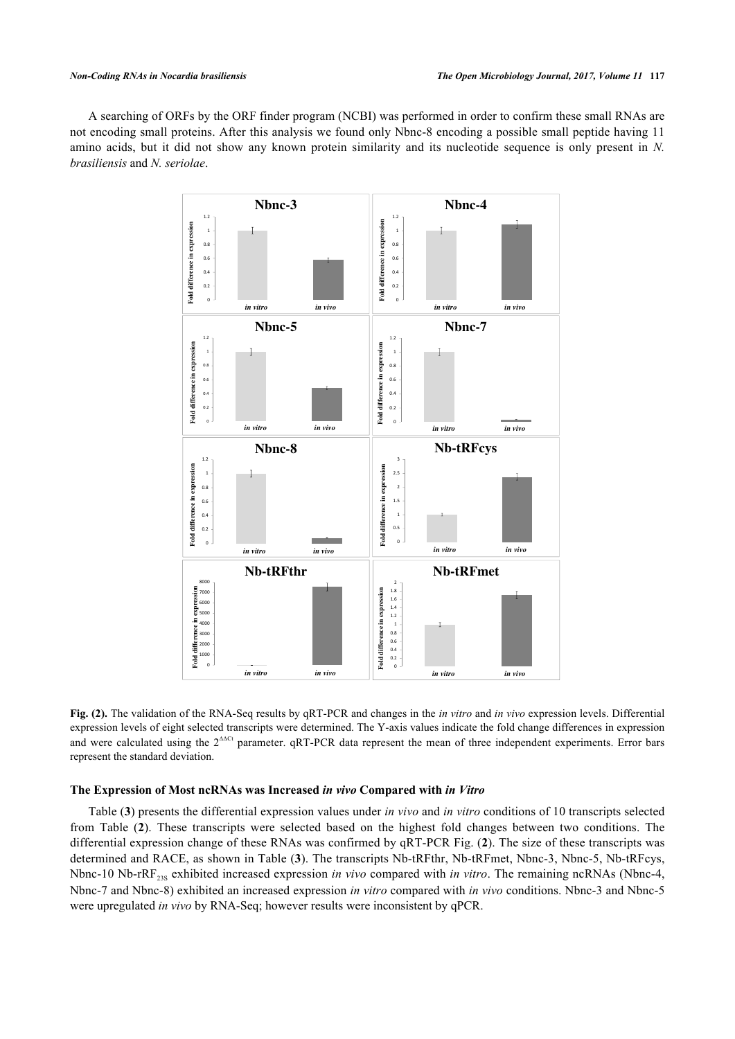<span id="page-5-0"></span>A searching of ORFs by the ORF finder program (NCBI) was performed in order to confirm these small RNAs are not encoding small proteins. After this analysis we found only Nbnc-8 encoding a possible small peptide having 11 amino acids, but it did not show any known protein similarity and its nucleotide sequence is only present in *N. brasiliensis* and *N. seriolae*.



**Fig. (2).** The validation of the RNA-Seq results by qRT-PCR and changes in the *in vitro* and *in vivo* expression levels. Differential expression levels of eight selected transcripts were determined. The Y-axis values indicate the fold change differences in expression and were calculated using the  $2^{\text{AACt}}$  parameter. qRT-PCR data represent the mean of three independent experiments. Error bars represent the standard deviation.

## **The Expression of Most ncRNAs was Increased** *in vivo* **Compared with** *in Vitro*

Table (**[3](#page-6-0)**) presents the differential expression values under *in vivo* and *in vitro* conditions of 10 transcripts selected from Table (**[2](#page-4-0)**). These transcripts were selected based on the highest fold changes between two conditions. The differential expression change of these RNAs was confirmed by qRT-PCR Fig. (**[2](#page-5-0)**). The size of these transcripts was determined and RACE, as shown in Table ([3](#page-6-0)). The transcripts Nb-tRFthr, Nb-tRFmet, Nbnc-3, Nbnc-5, Nb-tRFcys, Nbnc-10 Nb-rRF<sub>23S</sub> exhibited increased expression *in vivo* compared with *in vitro*. The remaining ncRNAs (Nbnc-4, Nbnc-7 and Nbnc-8) exhibited an increased expression *in vitro* compared with *in vivo* conditions. Nbnc-3 and Nbnc-5 were upregulated *in vivo* by RNA-Seq; however results were inconsistent by qPCR.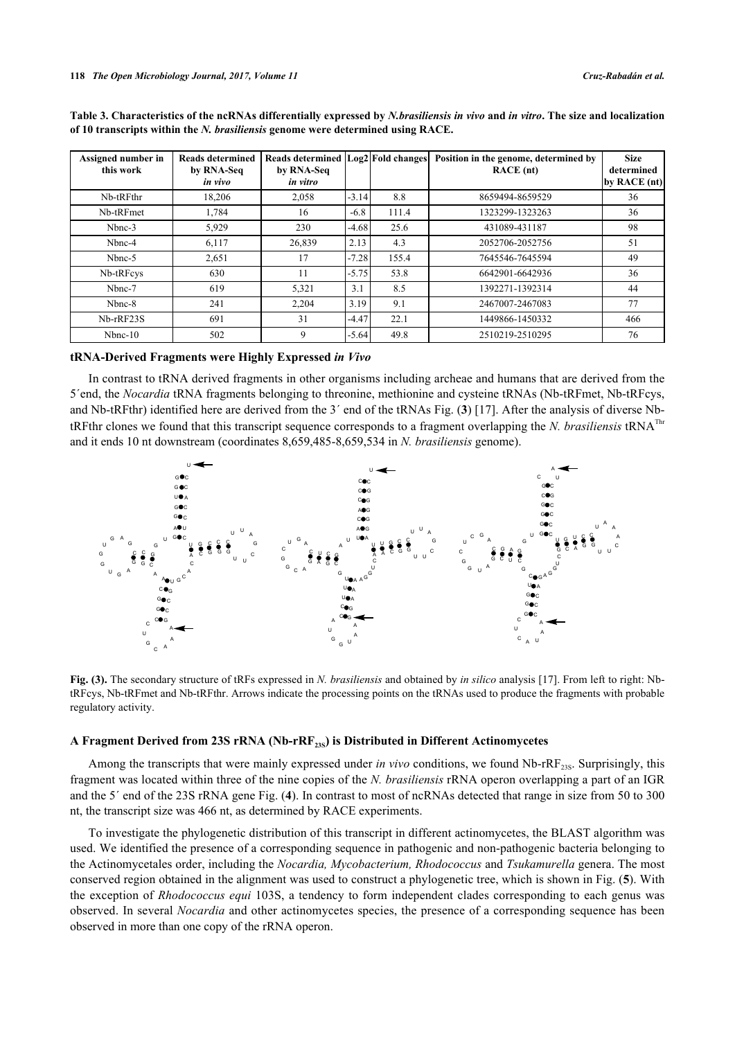| Assigned number in<br>this work | <b>Reads determined</b><br>by RNA-Seq<br>in vivo | Reads determined Log2 Fold changes<br>by RNA-Seq<br>in vitro |         |       | Position in the genome, determined by<br>RACE (nt) | <b>Size</b><br>determined<br>by RACE $(nt)$ |
|---------------------------------|--------------------------------------------------|--------------------------------------------------------------|---------|-------|----------------------------------------------------|---------------------------------------------|
| Nb-tRFthr                       | 18.206                                           | 2,058                                                        | $-3.14$ | 8.8   | 8659494-8659529                                    | 36                                          |
| Nb-tRFmet                       | 1,784                                            | 16                                                           | $-6.8$  | 111.4 | 1323299-1323263                                    | 36                                          |
| Nbnc-3                          | 5,929                                            | 230                                                          | $-4.68$ | 25.6  | 431089-431187                                      | 98                                          |
| Nbnc-4                          | 6,117                                            | 26,839                                                       | 2.13    | 4.3   | 2052706-2052756                                    | 51                                          |
| Nbnc-5                          | 2,651                                            | 17                                                           | $-7.28$ | 155.4 | 7645546-7645594                                    | 49                                          |
| Nb-tRFcys                       | 630                                              | 11                                                           | $-5.75$ | 53.8  | 6642901-6642936                                    | 36                                          |
| Nbnc-7                          | 619                                              | 5,321                                                        | 3.1     | 8.5   | 1392271-1392314                                    | 44                                          |
| Nbnc-8                          | 241                                              | 2,204                                                        | 3.19    | 9.1   | 2467007-2467083                                    | 77                                          |
| Nb-rRF23S                       | 691                                              | 31                                                           | $-4.47$ | 22.1  | 1449866-1450332                                    | 466                                         |
| $Nbnc-10$                       | 502                                              | 9                                                            | $-5.64$ | 49.8  | 2510219-2510295                                    | 76                                          |

<span id="page-6-0"></span>**Table 3. Characteristics of the ncRNAs differentially expressed by** *N.brasiliensis in vivo* **and** *in vitro***. The size and localization of 10 transcripts within the** *N. brasiliensis* **genome were determined using RACE.**

#### **tRNA-Derived Fragments were Highly Expressed** *in Vivo*

In contrast to tRNA derived fragments in other organisms including archeae and humans that are derived from the 5´end, the *Nocardia* tRNA fragments belonging to threonine, methionine and cysteine tRNAs (Nb-tRFmet, Nb-tRFcys, and Nb-tRFthr) identified here are derived from the 3´ end of the tRNAs Fig. (**[3](#page-6-1)**) [\[17](#page-12-2)]. After the analysis of diverse NbtRFthr clones we found that this transcript sequence corresponds to a fragment overlapping the *N. brasiliensis* tRNAThr and it ends 10 nt downstream (coordinates 8,659,485-8,659,534 in *N. brasiliensis* genome).

<span id="page-6-1"></span>

**Fig. (3).** The secondary structure of tRFs expressed in *N. brasiliensis* and obtained by *in silico* analysis [\[17](#page-12-2)]. From left to right: NbtRFcys, Nb-tRFmet and Nb-tRFthr. Arrows indicate the processing points on the tRNAs used to produce the fragments with probable regulatory activity.

## **A Fragment Derived from 23S rRNA (Nb-rRF23S) is Distributed in Different Actinomycetes**

Among the transcripts that were mainly expressed under *in vivo* conditions, we found Nb-rRF<sub>23S</sub>. Surprisingly, this fragment was located within three of the nine copies of the *N. brasiliensis* rRNA operon overlapping a part of an IGR and the 5´ end of the 23S rRNA gene Fig. (**[4](#page-6-2)**). In contrast to most of ncRNAs detected that range in size from 50 to 300 nt, the transcript size was 466 nt, as determined by RACE experiments.

<span id="page-6-2"></span>To investigate the phylogenetic distribution of this transcript in different actinomycetes, the BLAST algorithm was used. We identified the presence of a corresponding sequence in pathogenic and non-pathogenic bacteria belonging to the Actinomycetales order, including the *Nocardia, Mycobacterium, Rhodococcus* and *Tsukamurella* genera. The most conserved region obtained in the alignment was used to construct a phylogenetic tree, which is shown in Fig. (**[5](#page-7-0)**). With the exception of *Rhodococcus equi* 103S, a tendency to form independent clades corresponding to each genus was observed. In several *Nocardia* and other actinomycetes species, the presence of a corresponding sequence has been observed in more than one copy of the rRNA operon.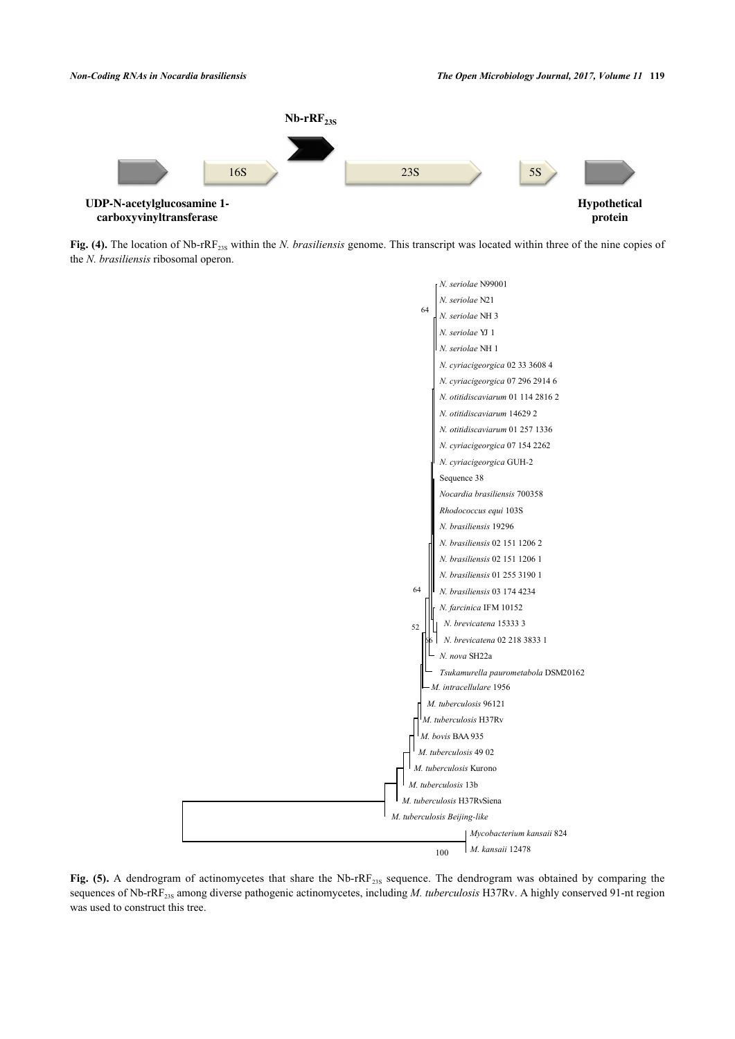

<span id="page-7-0"></span>Fig. (4). The location of Nb-rRF<sub>23S</sub> within the *N. brasiliensis* genome. This transcript was located within three of the nine copies of the *N. brasiliensis* ribosomal operon.



Fig. (5). A dendrogram of actinomycetes that share the Nb-rRF<sub>23S</sub> sequence. The dendrogram was obtained by comparing the sequences of Nb-rRF<sub>23S</sub> among diverse pathogenic actinomycetes, including *M. tuberculosis* H37Rv. A highly conserved 91-nt region was used to construct this tree.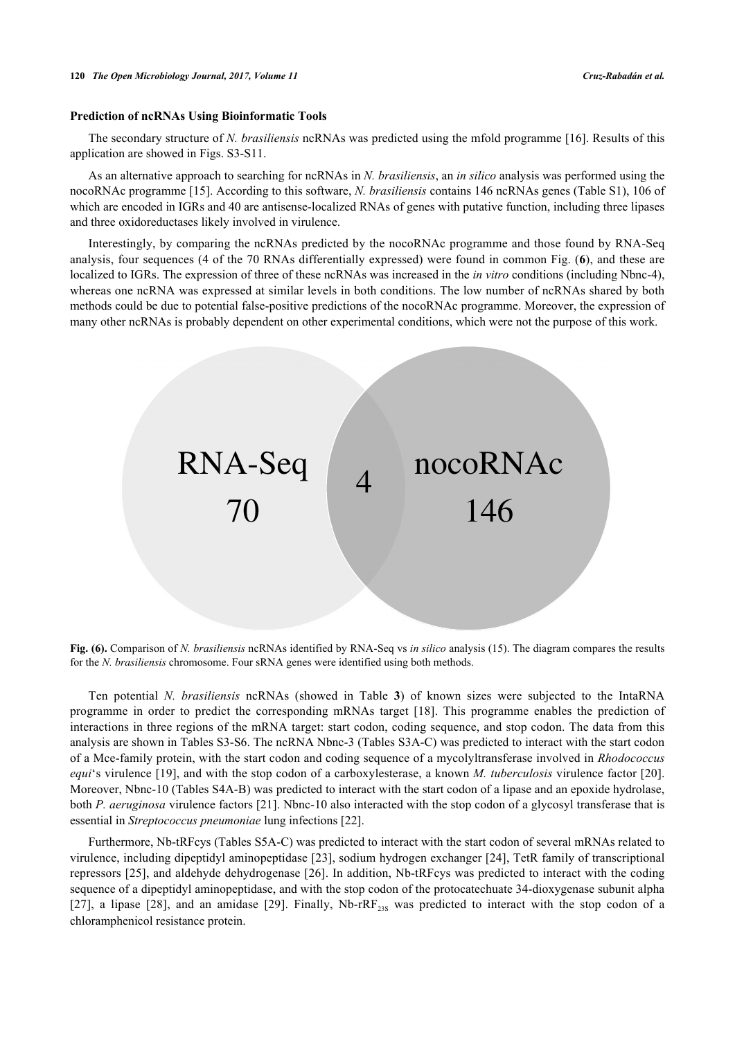#### **Prediction of ncRNAs Using Bioinformatic Tools**

The secondary structure of *N. brasiliensis* ncRNAs was predicted using the mfold programme [\[16](#page-12-3)]. Results of this application are showed in Figs. S3-S11.

As an alternative approach to searching for ncRNAs in *N. brasiliensis*, an *in silico* analysis was performed using the nocoRNAc programme [[15\]](#page-12-1). According to this software, *N. brasiliensis* contains 146 ncRNAs genes (Table S1), 106 of which are encoded in IGRs and 40 are antisense-localized RNAs of genes with putative function, including three lipases and three oxidoreductases likely involved in virulence.

Interestingly, by comparing the ncRNAs predicted by the nocoRNAc programme and those found by RNA-Seq analysis, four sequences (4 of the 70 RNAs differentially expressed) were found in common Fig. (**[6](#page-8-0)**), and these are localized to IGRs. The expression of three of these ncRNAs was increased in the *in vitro* conditions (including Nbnc-4), whereas one ncRNA was expressed at similar levels in both conditions. The low number of ncRNAs shared by both methods could be due to potential false-positive predictions of the nocoRNAc programme. Moreover, the expression of many other ncRNAs is probably dependent on other experimental conditions, which were not the purpose of this work.

<span id="page-8-0"></span>

**Fig. (6).** Comparison of *N. brasiliensis* ncRNAs identified by RNA-Seq vs *in silico* analysis (15). The diagram compares the results for the *N. brasiliensis* chromosome. Four sRNA genes were identified using both methods.

Ten potential *N. brasiliensis* ncRNAs (showed in Table**3**) of known sizes were subjected to the IntaRNA programme in order to predict the corresponding mRNAs target[[18\]](#page-12-4). This programme enables the prediction of interactions in three regions of the mRNA target: start codon, coding sequence, and stop codon. The data from this analysis are shown in Tables S3-S6. The ncRNA Nbnc-3 (Tables S3A-C) was predicted to interact with the start codon of a Mce-family protein, with the start codon and coding sequence of a mycolyltransferase involved in *Rhodococcus equi*'s virulence [\[19\]](#page-12-5), and with the stop codon of a carboxylesterase, a known *M. tuberculosis* virulence factor [\[20\]](#page-12-6). Moreover, Nbnc-10 (Tables S4A-B) was predicted to interact with the start codon of a lipase and an epoxide hydrolase, both *P. aeruginosa* virulence factors [[21](#page-12-7)]. Nbnc-10 also interacted with the stop codon of a glycosyl transferase that is essential in *Streptococcus pneumoniae* lung infections [\[22](#page-12-8)].

Furthermore, Nb-tRFcys (Tables S5A-C) was predicted to interact with the start codon of several mRNAs related to virulence, including dipeptidyl aminopeptidase [[23\]](#page-12-9), sodium hydrogen exchanger [[24\]](#page-12-10), TetR family of transcriptional repressors [[25](#page-12-11)], and aldehyde dehydrogenase [[26](#page-12-12)]. In addition, Nb-tRFcys was predicted to interact with the coding sequence of a dipeptidyl aminopeptidase, and with the stop codon of the protocatechuate 34-dioxygenase subunit alpha [\[27](#page-12-13)],a lipase [[28](#page-12-14)], and an amidase [\[29\]](#page-12-15). Finally, Nb- $rRF<sub>23S</sub>$  was predicted to interact with the stop codon of a chloramphenicol resistance protein.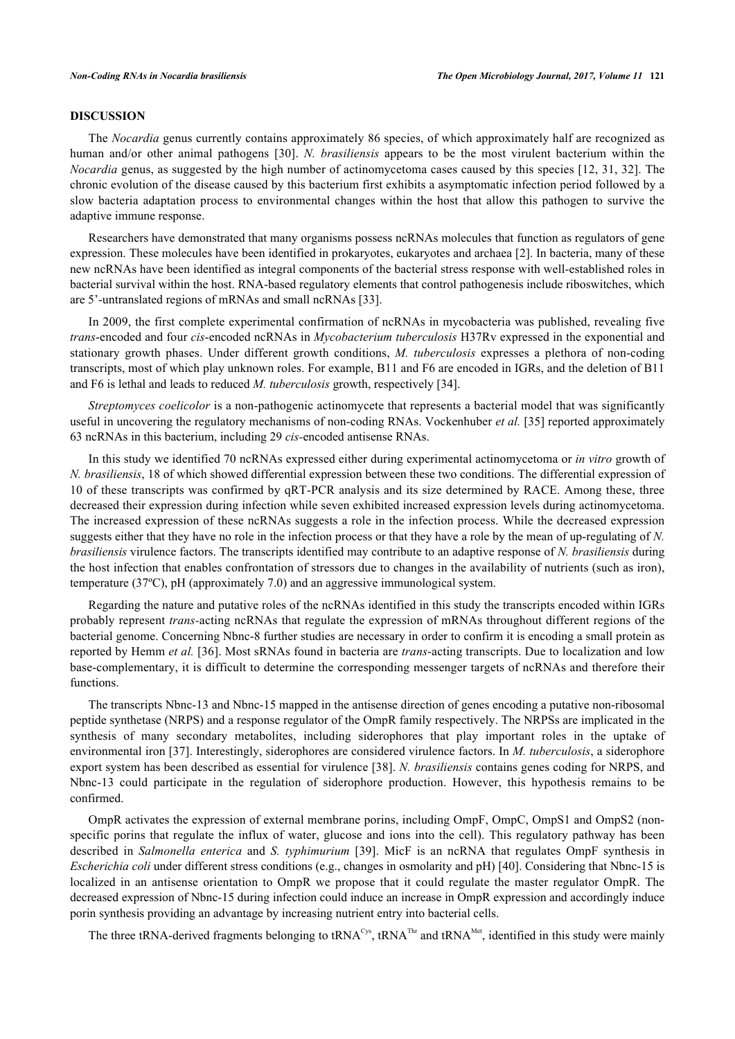## **DISCUSSION**

The *Nocardia* genus currently contains approximately 86 species, of which approximately half are recognized as human and/or other animal pathogens[[30\]](#page-12-16). *N. brasiliensis* appears to be the most virulent bacterium within the *Nocardia* genus, as suggested by the high number of actinomycetoma cases caused by this species [[12](#page-11-11), [31,](#page-12-17) [32\]](#page-12-18). The chronic evolution of the disease caused by this bacterium first exhibits a asymptomatic infection period followed by a slow bacteria adaptation process to environmental changes within the host that allow this pathogen to survive the adaptive immune response.

Researchers have demonstrated that many organisms possess ncRNAs molecules that function as regulators of gene expression. These molecules have been identified in prokaryotes, eukaryotes and archaea [[2](#page-11-1)]. In bacteria, many of these new ncRNAs have been identified as integral components of the bacterial stress response with well-established roles in bacterial survival within the host. RNA-based regulatory elements that control pathogenesis include riboswitches, which are 5'-untranslated regions of mRNAs and small ncRNAs [[33\]](#page-12-19).

In 2009, the first complete experimental confirmation of ncRNAs in mycobacteria was published, revealing five *trans*-encoded and four *cis*-encoded ncRNAs in *Mycobacterium tuberculosis* H37Rv expressed in the exponential and stationary growth phases. Under different growth conditions, *M. tuberculosis* expresses a plethora of non-coding transcripts, most of which play unknown roles. For example, B11 and F6 are encoded in IGRs, and the deletion of B11 and F6 is lethal and leads to reduced *M. tuberculosis* growth, respectively [\[34](#page-13-0)].

*Streptomyces coelicolor* is a non-pathogenic actinomycete that represents a bacterial model that was significantly useful in uncovering the regulatory mechanisms of non-coding RNAs. Vockenhuber *et al.* [[35\]](#page-13-1) reported approximately 63 ncRNAs in this bacterium, including 29 *cis-*encoded antisense RNAs.

In this study we identified 70 ncRNAs expressed either during experimental actinomycetoma or *in vitro* growth of *N. brasiliensis*, 18 of which showed differential expression between these two conditions. The differential expression of 10 of these transcripts was confirmed by qRT-PCR analysis and its size determined by RACE. Among these, three decreased their expression during infection while seven exhibited increased expression levels during actinomycetoma. The increased expression of these ncRNAs suggests a role in the infection process. While the decreased expression suggests either that they have no role in the infection process or that they have a role by the mean of up-regulating of *N. brasiliensis* virulence factors. The transcripts identified may contribute to an adaptive response of *N. brasiliensis* during the host infection that enables confrontation of stressors due to changes in the availability of nutrients (such as iron), temperature (37ºC), pH (approximately 7.0) and an aggressive immunological system.

Regarding the nature and putative roles of the ncRNAs identified in this study the transcripts encoded within IGRs probably represent *trans-*acting ncRNAs that regulate the expression of mRNAs throughout different regions of the bacterial genome. Concerning Nbnc-8 further studies are necessary in order to confirm it is encoding a small protein as reported by Hemm *et al.* [\[36\]](#page-13-2). Most sRNAs found in bacteria are *trans*-acting transcripts. Due to localization and low base-complementary, it is difficult to determine the corresponding messenger targets of ncRNAs and therefore their functions.

The transcripts Nbnc-13 and Nbnc-15 mapped in the antisense direction of genes encoding a putative non-ribosomal peptide synthetase (NRPS) and a response regulator of the OmpR family respectively. The NRPSs are implicated in the synthesis of many secondary metabolites, including siderophores that play important roles in the uptake of environmental iron [\[37](#page-13-3)]. Interestingly, siderophores are considered virulence factors. In *M. tuberculosis*, a siderophore export system has been described as essential for virulence [[38\]](#page-13-4). *N. brasiliensis* contains genes coding for NRPS, and Nbnc-13 could participate in the regulation of siderophore production. However, this hypothesis remains to be confirmed.

OmpR activates the expression of external membrane porins, including OmpF, OmpC, OmpS1 and OmpS2 (nonspecific porins that regulate the influx of water, glucose and ions into the cell). This regulatory pathway has been described in *Salmonella enterica* and *S. typhimurium* [[39](#page-13-5)]. MicF is an ncRNA that regulates OmpF synthesis in *Escherichia coli* under different stress conditions (e.g., changes in osmolarity and pH) [\[40](#page-13-6)]. Considering that Nbnc-15 is localized in an antisense orientation to OmpR we propose that it could regulate the master regulator OmpR. The decreased expression of Nbnc-15 during infection could induce an increase in OmpR expression and accordingly induce porin synthesis providing an advantage by increasing nutrient entry into bacterial cells.

The three tRNA-derived fragments belonging to tRNA<sup>Cys</sup>, tRNA<sup>Thr</sup> and tRNA<sup>Met</sup>, identified in this study were mainly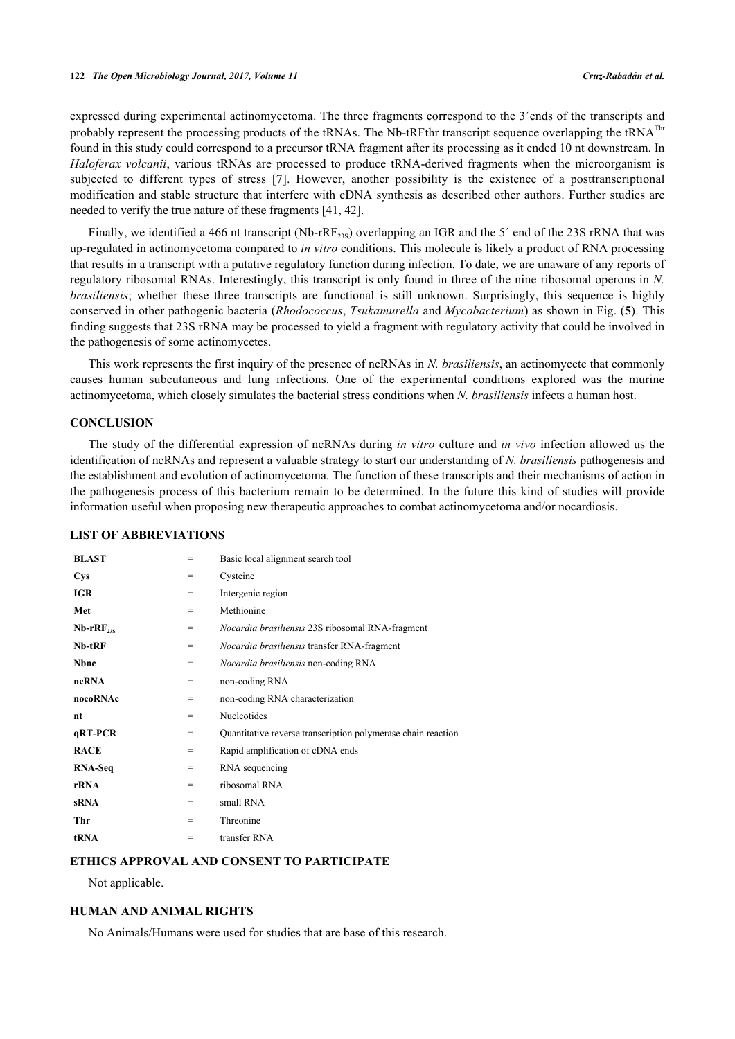expressed during experimental actinomycetoma. The three fragments correspond to the 3´ends of the transcripts and probably represent the processing products of the tRNAs. The Nb-tRFthr transcript sequence overlapping the tRNA<sup>Thr</sup> found in this study could correspond to a precursor tRNA fragment after its processing as it ended 10 nt downstream. In *Haloferax volcanii*, various tRNAs are processed to produce tRNA-derived fragments when the microorganism is subjected to different types of stress[[7](#page-11-6)]. However, another possibility is the existence of a posttranscriptional modification and stable structure that interfere with cDNA synthesis as described other authors. Further studies are needed to verify the true nature of these fragments [\[41](#page-13-7), [42](#page-13-8)].

Finally, we identified a 466 nt transcript (Nb-rRF<sub>23S</sub>) overlapping an IGR and the 5<sup>'</sup> end of the 23S rRNA that was up-regulated in actinomycetoma compared to *in vitro* conditions. This molecule is likely a product of RNA processing that results in a transcript with a putative regulatory function during infection. To date, we are unaware of any reports of regulatory ribosomal RNAs. Interestingly, this transcript is only found in three of the nine ribosomal operons in *N. brasiliensis*; whether these three transcripts are functional is still unknown. Surprisingly, this sequence is highly conserved in other pathogenic bacteria (*Rhodococcus*, *Tsukamurella* and *Mycobacterium*) as shown in Fig. (**[5](#page-7-0)**). This finding suggests that 23S rRNA may be processed to yield a fragment with regulatory activity that could be involved in the pathogenesis of some actinomycetes.

This work represents the first inquiry of the presence of ncRNAs in *N. brasiliensis*, an actinomycete that commonly causes human subcutaneous and lung infections. One of the experimental conditions explored was the murine actinomycetoma, which closely simulates the bacterial stress conditions when *N. brasiliensis* infects a human host.

## **CONCLUSION**

The study of the differential expression of ncRNAs during *in vitro* culture and *in vivo* infection allowed us the identification of ncRNAs and represent a valuable strategy to start our understanding of *N. brasiliensis* pathogenesis and the establishment and evolution of actinomycetoma. The function of these transcripts and their mechanisms of action in the pathogenesis process of this bacterium remain to be determined. In the future this kind of studies will provide information useful when proposing new therapeutic approaches to combat actinomycetoma and/or nocardiosis.

## **LIST OF ABBREVIATIONS**

| <b>BLAST</b>  | =   | Basic local alignment search tool                            |
|---------------|-----|--------------------------------------------------------------|
| <b>Cys</b>    | $=$ | Cysteine                                                     |
| <b>IGR</b>    | $=$ | Intergenic region                                            |
| Met           | $=$ | Methionine                                                   |
| $Nb-rRF_{28}$ | $=$ | <i>Nocardia brasiliensis</i> 23S ribosomal RNA-fragment      |
| $Nb-tRF$      | $=$ | <i>Nocardia brasiliensis</i> transfer RNA-fragment           |
| <b>Nbnc</b>   | $=$ | <i>Nocardia brasiliensis</i> non-coding RNA                  |
| ncRNA         | $=$ | non-coding RNA                                               |
| nocoRNAc      | =   | non-coding RNA characterization                              |
| nt            | $=$ | Nucleotides                                                  |
| qRT-PCR       | $=$ | Quantitative reverse transcription polymerase chain reaction |
| <b>RACE</b>   | $=$ | Rapid amplification of cDNA ends                             |
| RNA-Seq       | $=$ | RNA sequencing                                               |
| rRNA          | $=$ | ribosomal RNA                                                |
| <b>sRNA</b>   | $=$ | small RNA                                                    |
| Thr           | =   | Threonine                                                    |
| tRNA          | =   | transfer RNA                                                 |

## **ETHICS APPROVAL AND CONSENT TO PARTICIPATE**

Not applicable.

## **HUMAN AND ANIMAL RIGHTS**

No Animals/Humans were used for studies that are base of this research.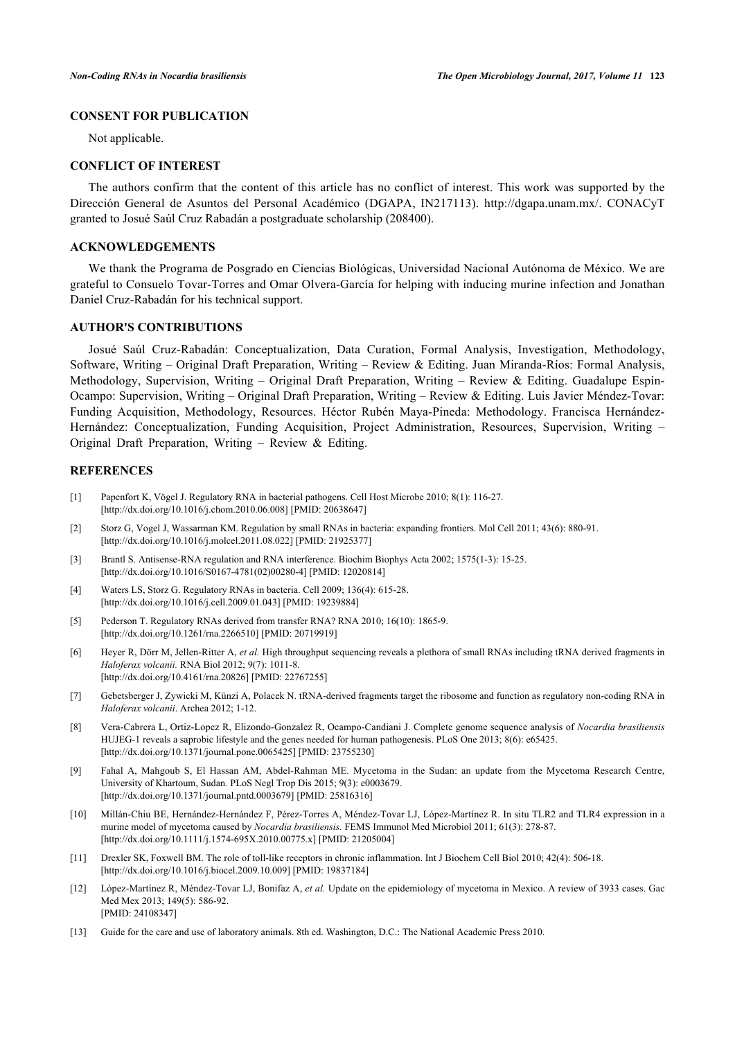## **CONSENT FOR PUBLICATION**

Not applicable.

#### **CONFLICT OF INTEREST**

The authors confirm that the content of this article has no conflict of interest. This work was supported by the Dirección General de Asuntos del Personal Académico (DGAPA, IN217113).<http://dgapa.unam.mx/>. CONACyT granted to Josué Saúl Cruz Rabadán a postgraduate scholarship (208400).

## **ACKNOWLEDGEMENTS**

We thank the Programa de Posgrado en Ciencias Biológicas, Universidad Nacional Autónoma de México. We are grateful to Consuelo Tovar-Torres and Omar Olvera-García for helping with inducing murine infection and Jonathan Daniel Cruz-Rabadán for his technical support.

## **AUTHOR'S CONTRIBUTIONS**

Josué Saúl Cruz-Rabadán: Conceptualization, Data Curation, Formal Analysis, Investigation, Methodology, Software, Writing – Original Draft Preparation, Writing – Review & Editing. Juan Miranda-Ríos: Formal Analysis, Methodology, Supervision, Writing – Original Draft Preparation, Writing – Review & Editing. Guadalupe Espín-Ocampo: Supervision, Writing – Original Draft Preparation, Writing – Review & Editing. Luis Javier Méndez-Tovar: Funding Acquisition, Methodology, Resources. Héctor Rubén Maya-Pineda: Methodology. Francisca Hernández-Hernández: Conceptualization, Funding Acquisition, Project Administration, Resources, Supervision, Writing – Original Draft Preparation, Writing – Review & Editing.

#### **REFERENCES**

- <span id="page-11-0"></span>[1] Papenfort K, Vögel J. Regulatory RNA in bacterial pathogens. Cell Host Microbe 2010; 8(1): 116-27. [\[http://dx.doi.org/10.1016/j.chom.2010.06.008\]](http://dx.doi.org/10.1016/j.chom.2010.06.008) [PMID: [20638647](http://www.ncbi.nlm.nih.gov/pubmed/20638647)]
- <span id="page-11-1"></span>[2] Storz G, Vogel J, Wassarman KM. Regulation by small RNAs in bacteria: expanding frontiers. Mol Cell 2011; 43(6): 880-91. [\[http://dx.doi.org/10.1016/j.molcel.2011.08.022\]](http://dx.doi.org/10.1016/j.molcel.2011.08.022) [PMID: [21925377](http://www.ncbi.nlm.nih.gov/pubmed/21925377)]
- <span id="page-11-2"></span>[3] Brantl S. Antisense-RNA regulation and RNA interference. Biochim Biophys Acta 2002; 1575(1-3): 15-25. [\[http://dx.doi.org/10.1016/S0167-4781\(02\)00280-4\]](http://dx.doi.org/10.1016/S0167-4781(02)00280-4) [PMID: [12020814](http://www.ncbi.nlm.nih.gov/pubmed/12020814)]
- <span id="page-11-3"></span>[4] Waters LS, Storz G. Regulatory RNAs in bacteria. Cell 2009; 136(4): 615-28. [\[http://dx.doi.org/10.1016/j.cell.2009.01.043\]](http://dx.doi.org/10.1016/j.cell.2009.01.043) [PMID: [19239884](http://www.ncbi.nlm.nih.gov/pubmed/19239884)]
- <span id="page-11-4"></span>[5] Pederson T. Regulatory RNAs derived from transfer RNA? RNA 2010; 16(10): 1865-9. [\[http://dx.doi.org/10.1261/rna.2266510](http://dx.doi.org/10.1261/rna.2266510)] [PMID: [20719919\]](http://www.ncbi.nlm.nih.gov/pubmed/20719919)
- <span id="page-11-5"></span>[6] Heyer R, Dörr M, Jellen-Ritter A, *et al.* High throughput sequencing reveals a plethora of small RNAs including tRNA derived fragments in *Haloferax volcanii.* RNA Biol 2012; 9(7): 1011-8. [\[http://dx.doi.org/10.4161/rna.20826](http://dx.doi.org/10.4161/rna.20826)] [PMID: [22767255\]](http://www.ncbi.nlm.nih.gov/pubmed/22767255)
- <span id="page-11-6"></span>[7] Gebetsberger J, Zywicki M, Künzi A, Polacek N. tRNA-derived fragments target the ribosome and function as regulatory non-coding RNA in *Haloferax volcanii*. Archea 2012; 1-12.
- <span id="page-11-7"></span>[8] Vera-Cabrera L, Ortiz-Lopez R, Elizondo-Gonzalez R, Ocampo-Candiani J. Complete genome sequence analysis of *Nocardia brasiliensis* HUJEG-1 reveals a saprobic lifestyle and the genes needed for human pathogenesis. PLoS One 2013; 8(6): e65425. [\[http://dx.doi.org/10.1371/journal.pone.0065425](http://dx.doi.org/10.1371/journal.pone.0065425)] [PMID: [23755230\]](http://www.ncbi.nlm.nih.gov/pubmed/23755230)
- <span id="page-11-8"></span>[9] Fahal A, Mahgoub S, El Hassan AM, Abdel-Rahman ME. Mycetoma in the Sudan: an update from the Mycetoma Research Centre, University of Khartoum, Sudan. PLoS Negl Trop Dis 2015; 9(3): e0003679. [\[http://dx.doi.org/10.1371/journal.pntd.0003679\]](http://dx.doi.org/10.1371/journal.pntd.0003679) [PMID: [25816316](http://www.ncbi.nlm.nih.gov/pubmed/25816316)]
- <span id="page-11-9"></span>[10] Millán-Chiu BE, Hernández-Hernández F, Pérez-Torres A, Méndez-Tovar LJ, López-Martínez R. In situ TLR2 and TLR4 expression in a murine model of mycetoma caused by *Nocardia brasiliensis.* FEMS Immunol Med Microbiol 2011; 61(3): 278-87. [\[http://dx.doi.org/10.1111/j.1574-695X.2010.00775.x](http://dx.doi.org/10.1111/j.1574-695X.2010.00775.x)] [PMID: [21205004](http://www.ncbi.nlm.nih.gov/pubmed/21205004)]
- <span id="page-11-10"></span>[11] Drexler SK, Foxwell BM. The role of toll-like receptors in chronic inflammation. Int J Biochem Cell Biol 2010; 42(4): 506-18. [\[http://dx.doi.org/10.1016/j.biocel.2009.10.009\]](http://dx.doi.org/10.1016/j.biocel.2009.10.009) [PMID: [19837184](http://www.ncbi.nlm.nih.gov/pubmed/19837184)]
- <span id="page-11-11"></span>[12] López-Martínez R, Méndez-Tovar LJ, Bonifaz A, *et al.* Update on the epidemiology of mycetoma in Mexico. A review of 3933 cases. Gac Med Mex 2013; 149(5): 586-92. [PMID: [24108347\]](http://www.ncbi.nlm.nih.gov/pubmed/24108347)
- <span id="page-11-12"></span>[13] Guide for the care and use of laboratory animals. 8th ed. Washington, D.C.: The National Academic Press 2010.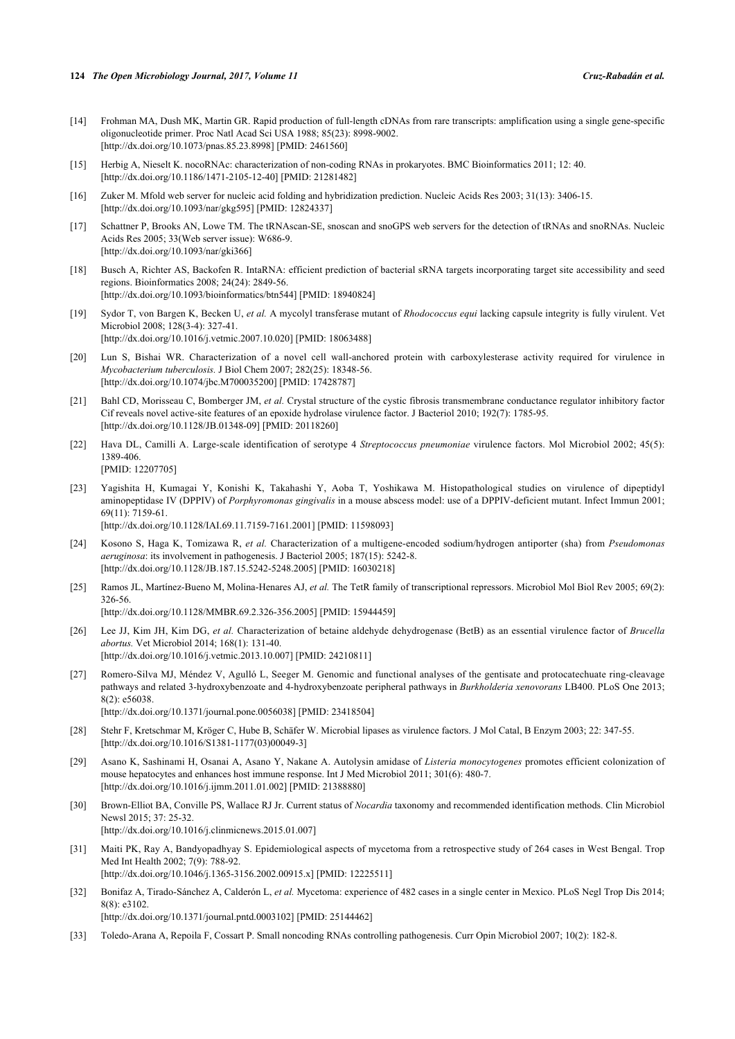- <span id="page-12-0"></span>[14] Frohman MA, Dush MK, Martin GR. Rapid production of full-length cDNAs from rare transcripts: amplification using a single gene-specific oligonucleotide primer. Proc Natl Acad Sci USA 1988; 85(23): 8998-9002. [\[http://dx.doi.org/10.1073/pnas.85.23.8998](http://dx.doi.org/10.1073/pnas.85.23.8998)] [PMID: [2461560](http://www.ncbi.nlm.nih.gov/pubmed/2461560)]
- <span id="page-12-1"></span>[15] Herbig A, Nieselt K. nocoRNAc: characterization of non-coding RNAs in prokaryotes. BMC Bioinformatics 2011; 12: 40. [\[http://dx.doi.org/10.1186/1471-2105-12-40\]](http://dx.doi.org/10.1186/1471-2105-12-40) [PMID: [21281482](http://www.ncbi.nlm.nih.gov/pubmed/21281482)]
- <span id="page-12-3"></span>[16] Zuker M. Mfold web server for nucleic acid folding and hybridization prediction. Nucleic Acids Res 2003; 31(13): 3406-15. [\[http://dx.doi.org/10.1093/nar/gkg595](http://dx.doi.org/10.1093/nar/gkg595)] [PMID: [12824337\]](http://www.ncbi.nlm.nih.gov/pubmed/12824337)
- <span id="page-12-2"></span>[17] Schattner P, Brooks AN, Lowe TM. The tRNAscan-SE, snoscan and snoGPS web servers for the detection of tRNAs and snoRNAs. Nucleic Acids Res 2005; 33(Web server issue): W686-9. [\[http://dx.doi.org/10.1093/nar/gki366](http://dx.doi.org/10.1093/nar/gki366)]
- <span id="page-12-4"></span>[18] Busch A, Richter AS, Backofen R. IntaRNA: efficient prediction of bacterial sRNA targets incorporating target site accessibility and seed regions. Bioinformatics 2008; 24(24): 2849-56. [\[http://dx.doi.org/10.1093/bioinformatics/btn544\]](http://dx.doi.org/10.1093/bioinformatics/btn544) [PMID: [18940824](http://www.ncbi.nlm.nih.gov/pubmed/18940824)]
- <span id="page-12-5"></span>[19] Sydor T, von Bargen K, Becken U, *et al.* A mycolyl transferase mutant of *Rhodococcus equi* lacking capsule integrity is fully virulent. Vet Microbiol 2008; 128(3-4): 327-41. [\[http://dx.doi.org/10.1016/j.vetmic.2007.10.020\]](http://dx.doi.org/10.1016/j.vetmic.2007.10.020) [PMID: [18063488](http://www.ncbi.nlm.nih.gov/pubmed/18063488)]
- <span id="page-12-6"></span>[20] Lun S, Bishai WR. Characterization of a novel cell wall-anchored protein with carboxylesterase activity required for virulence in *Mycobacterium tuberculosis.* J Biol Chem 2007; 282(25): 18348-56. [\[http://dx.doi.org/10.1074/jbc.M700035200\]](http://dx.doi.org/10.1074/jbc.M700035200) [PMID: [17428787](http://www.ncbi.nlm.nih.gov/pubmed/17428787)]
- <span id="page-12-7"></span>[21] Bahl CD, Morisseau C, Bomberger JM, et al. Crystal structure of the cystic fibrosis transmembrane conductance regulator inhibitory factor Cif reveals novel active-site features of an epoxide hydrolase virulence factor. J Bacteriol 2010; 192(7): 1785-95. [\[http://dx.doi.org/10.1128/JB.01348-09\]](http://dx.doi.org/10.1128/JB.01348-09) [PMID: [20118260](http://www.ncbi.nlm.nih.gov/pubmed/20118260)]
- <span id="page-12-8"></span>[22] Hava DL, Camilli A. Large-scale identification of serotype 4 *Streptococcus pneumoniae* virulence factors. Mol Microbiol 2002; 45(5): 1389-406. [PMID: [12207705\]](http://www.ncbi.nlm.nih.gov/pubmed/12207705)
- <span id="page-12-9"></span>[23] Yagishita H, Kumagai Y, Konishi K, Takahashi Y, Aoba T, Yoshikawa M. Histopathological studies on virulence of dipeptidyl aminopeptidase IV (DPPIV) of *Porphyromonas gingivalis* in a mouse abscess model: use of a DPPIV-deficient mutant. Infect Immun 2001; 69(11): 7159-61.

[\[http://dx.doi.org/10.1128/IAI.69.11.7159-7161.2001\]](http://dx.doi.org/10.1128/IAI.69.11.7159-7161.2001) [PMID: [11598093](http://www.ncbi.nlm.nih.gov/pubmed/11598093)]

- <span id="page-12-10"></span>[24] Kosono S, Haga K, Tomizawa R, *et al.* Characterization of a multigene-encoded sodium/hydrogen antiporter (sha) from *Pseudomonas aeruginosa*: its involvement in pathogenesis. J Bacteriol 2005; 187(15): 5242-8. [\[http://dx.doi.org/10.1128/JB.187.15.5242-5248.2005\]](http://dx.doi.org/10.1128/JB.187.15.5242-5248.2005) [PMID: [16030218](http://www.ncbi.nlm.nih.gov/pubmed/16030218)]
- <span id="page-12-11"></span>[25] Ramos JL, Martínez-Bueno M, Molina-Henares AJ, *et al.* The TetR family of transcriptional repressors. Microbiol Mol Biol Rev 2005; 69(2): 326-56.

[\[http://dx.doi.org/10.1128/MMBR.69.2.326-356.2005](http://dx.doi.org/10.1128/MMBR.69.2.326-356.2005)] [PMID: [15944459\]](http://www.ncbi.nlm.nih.gov/pubmed/15944459)

- <span id="page-12-12"></span>[26] Lee JJ, Kim JH, Kim DG, *et al.* Characterization of betaine aldehyde dehydrogenase (BetB) as an essential virulence factor of *Brucella abortus.* Vet Microbiol 2014; 168(1): 131-40. [\[http://dx.doi.org/10.1016/j.vetmic.2013.10.007\]](http://dx.doi.org/10.1016/j.vetmic.2013.10.007) [PMID: [24210811](http://www.ncbi.nlm.nih.gov/pubmed/24210811)]
- <span id="page-12-13"></span>[27] Romero-Silva MJ, Méndez V, Agulló L, Seeger M. Genomic and functional analyses of the gentisate and protocatechuate ring-cleavage pathways and related 3-hydroxybenzoate and 4-hydroxybenzoate peripheral pathways in *Burkholderia xenovorans* LB400. PLoS One 2013; 8(2): e56038. [\[http://dx.doi.org/10.1371/journal.pone.0056038](http://dx.doi.org/10.1371/journal.pone.0056038)] [PMID: [23418504\]](http://www.ncbi.nlm.nih.gov/pubmed/23418504)
- <span id="page-12-14"></span>[28] Stehr F, Kretschmar M, Kröger C, Hube B, Schäfer W. Microbial lipases as virulence factors. J Mol Catal, B Enzym 2003; 22: 347-55. [\[http://dx.doi.org/10.1016/S1381-1177\(03\)00049-3\]](http://dx.doi.org/10.1016/S1381-1177(03)00049-3)
- <span id="page-12-15"></span>[29] Asano K, Sashinami H, Osanai A, Asano Y, Nakane A. Autolysin amidase of *Listeria monocytogenes* promotes efficient colonization of mouse hepatocytes and enhances host immune response. Int J Med Microbiol 2011; 301(6): 480-7. [\[http://dx.doi.org/10.1016/j.ijmm.2011.01.002\]](http://dx.doi.org/10.1016/j.ijmm.2011.01.002) [PMID: [21388880](http://www.ncbi.nlm.nih.gov/pubmed/21388880)]
- <span id="page-12-16"></span>[30] Brown-Elliot BA, Conville PS, Wallace RJ Jr. Current status of *Nocardia* taxonomy and recommended identification methods. Clin Microbiol Newsl 2015; 37: 25-32. [\[http://dx.doi.org/10.1016/j.clinmicnews.2015.01.007](http://dx.doi.org/10.1016/j.clinmicnews.2015.01.007)]
- <span id="page-12-17"></span>[31] Maiti PK, Ray A, Bandyopadhyay S. Epidemiological aspects of mycetoma from a retrospective study of 264 cases in West Bengal. Trop Med Int Health 2002; 7(9): 788-92. [\[http://dx.doi.org/10.1046/j.1365-3156.2002.00915.x\]](http://dx.doi.org/10.1046/j.1365-3156.2002.00915.x) [PMID: [12225511](http://www.ncbi.nlm.nih.gov/pubmed/12225511)]
- <span id="page-12-18"></span>[32] Bonifaz A, Tirado-Sánchez A, Calderón L, *et al.* Mycetoma: experience of 482 cases in a single center in Mexico. PLoS Negl Trop Dis 2014; 8(8): e3102. [\[http://dx.doi.org/10.1371/journal.pntd.0003102\]](http://dx.doi.org/10.1371/journal.pntd.0003102) [PMID: [25144462](http://www.ncbi.nlm.nih.gov/pubmed/25144462)]
- <span id="page-12-19"></span>[33] Toledo-Arana A, Repoila F, Cossart P. Small noncoding RNAs controlling pathogenesis. Curr Opin Microbiol 2007; 10(2): 182-8.